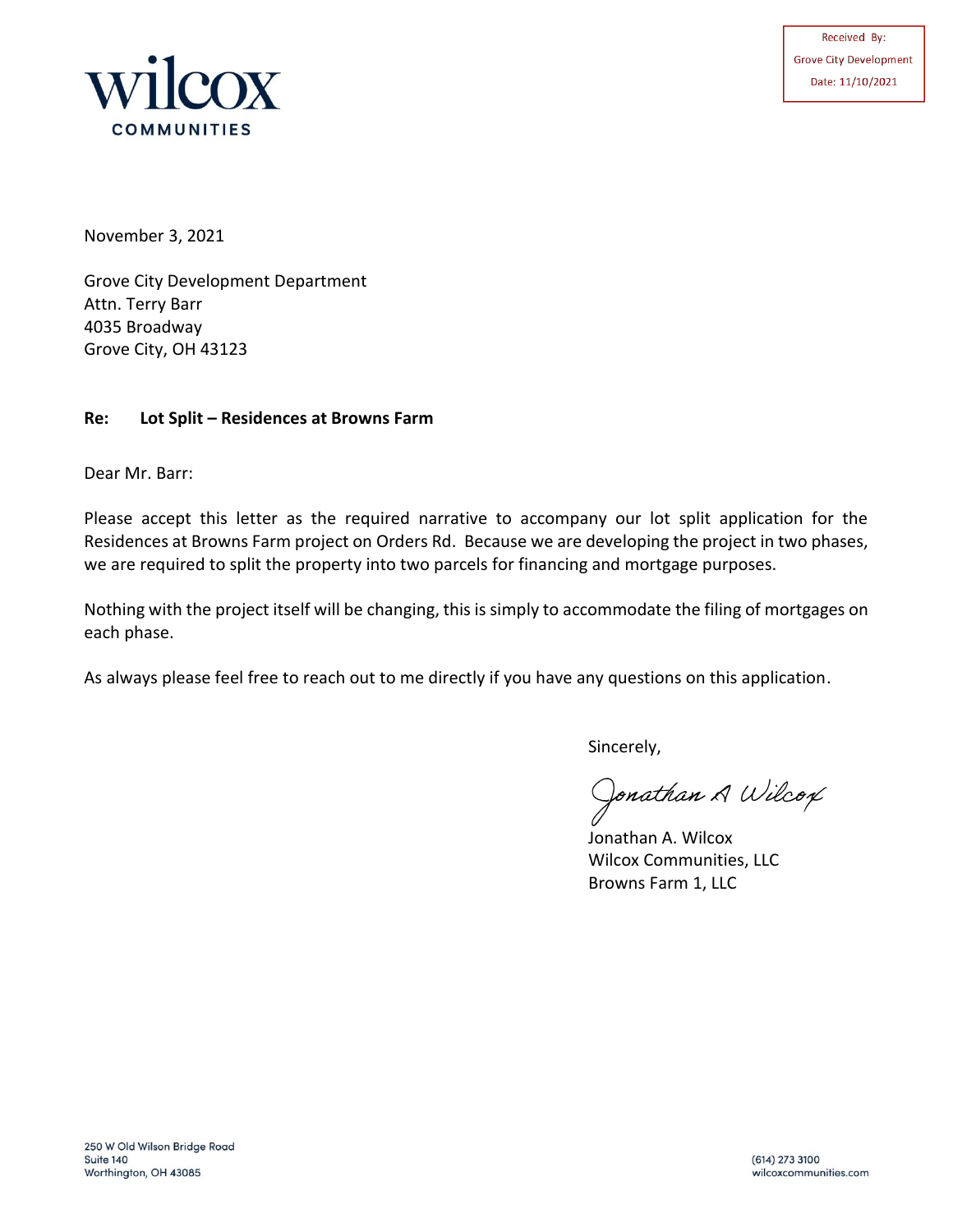



November 3, 2021

Grove City Development Department Attn. Terry Barr 4035 Broadway Grove City, OH 43123

## **Re: Lot Split – Residences at Browns Farm**

Dear Mr. Barr:

Please accept this letter as the required narrative to accompany our lot split application for the Residences at Browns Farm project on Orders Rd. Because we are developing the project in two phases, we are required to split the property into two parcels for financing and mortgage purposes.

Nothing with the project itself will be changing, this is simply to accommodate the filing of mortgages on each phase.

As always please feel free to reach out to me directly if you have any questions on this application.

Sincerely,

Jonathan A Wilcox

Jonathan A. Wilcox Wilcox Communities, LLC Browns Farm 1, LLC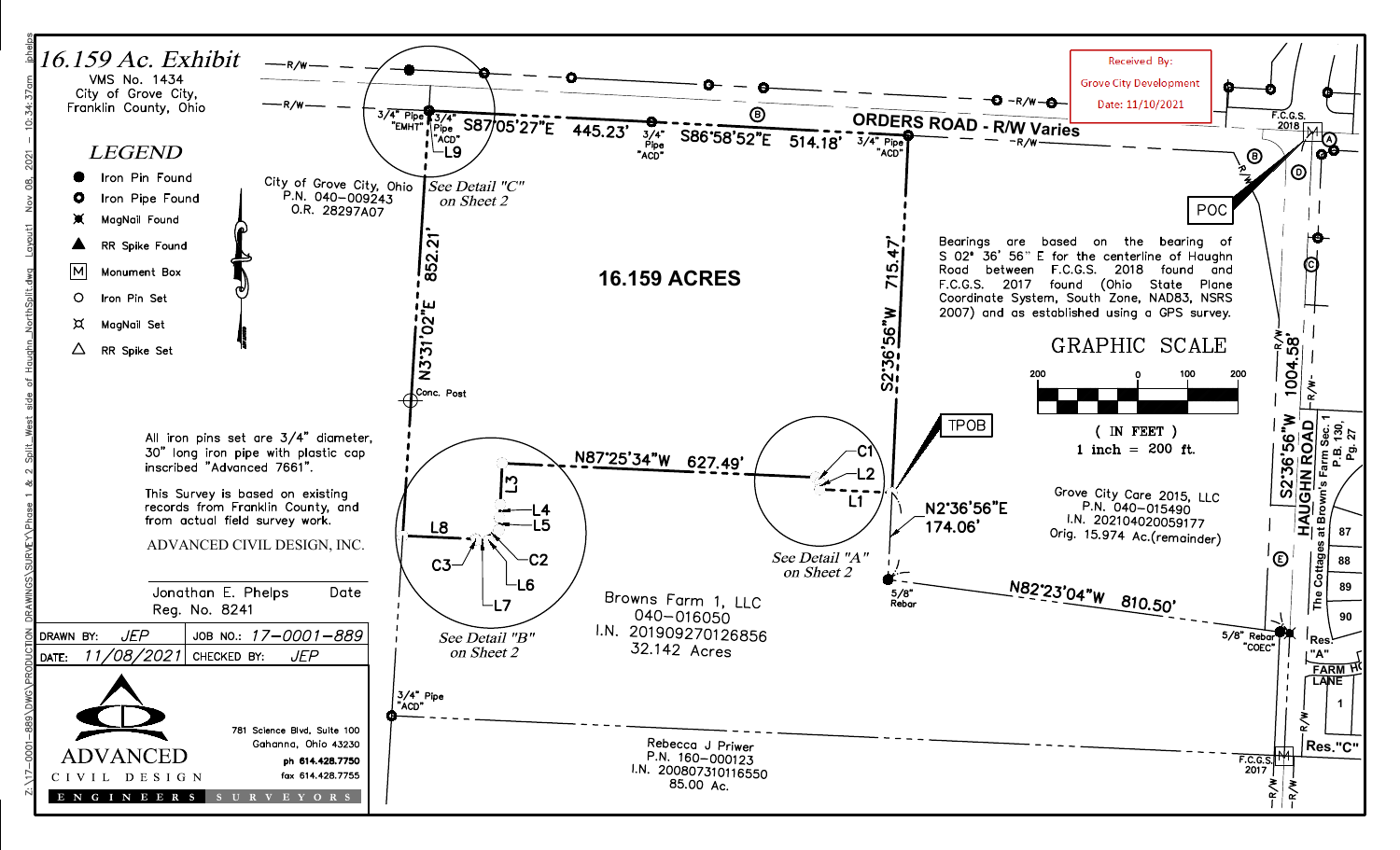